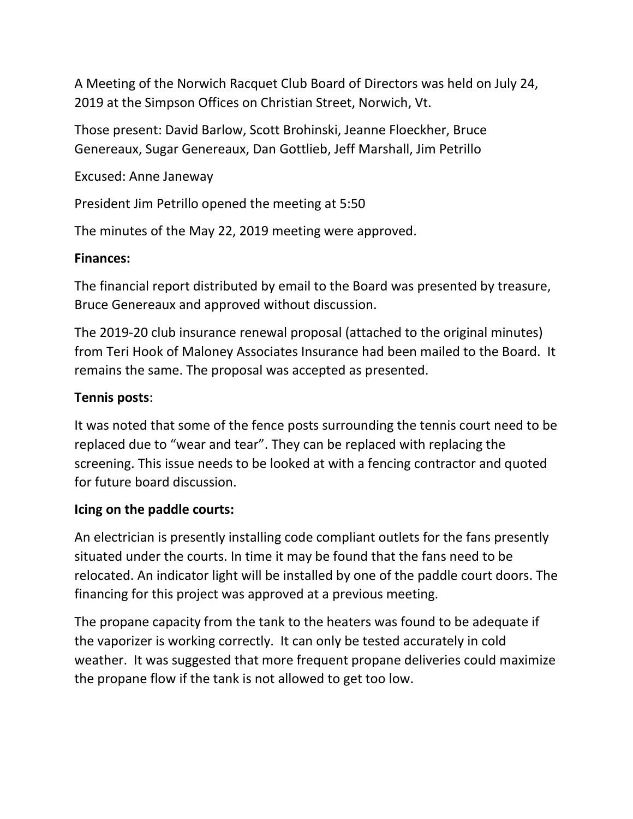A Meeting of the Norwich Racquet Club Board of Directors was held on July 24, 2019 at the Simpson Offices on Christian Street, Norwich, Vt.

Those present: David Barlow, Scott Brohinski, Jeanne Floeckher, Bruce Genereaux, Sugar Genereaux, Dan Gottlieb, Jeff Marshall, Jim Petrillo

Excused: Anne Janeway

President Jim Petrillo opened the meeting at 5:50

The minutes of the May 22, 2019 meeting were approved.

#### **Finances:**

The financial report distributed by email to the Board was presented by treasure, Bruce Genereaux and approved without discussion.

The 2019-20 club insurance renewal proposal (attached to the original minutes) from Teri Hook of Maloney Associates Insurance had been mailed to the Board. It remains the same. The proposal was accepted as presented.

### **Tennis posts**:

It was noted that some of the fence posts surrounding the tennis court need to be replaced due to "wear and tear". They can be replaced with replacing the screening. This issue needs to be looked at with a fencing contractor and quoted for future board discussion.

### **Icing on the paddle courts:**

An electrician is presently installing code compliant outlets for the fans presently situated under the courts. In time it may be found that the fans need to be relocated. An indicator light will be installed by one of the paddle court doors. The financing for this project was approved at a previous meeting.

The propane capacity from the tank to the heaters was found to be adequate if the vaporizer is working correctly. It can only be tested accurately in cold weather. It was suggested that more frequent propane deliveries could maximize the propane flow if the tank is not allowed to get too low.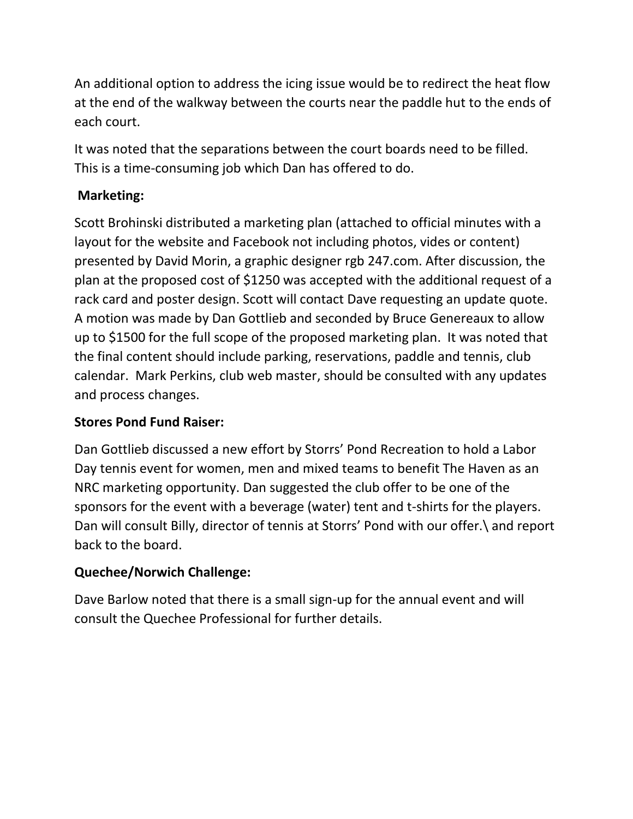An additional option to address the icing issue would be to redirect the heat flow at the end of the walkway between the courts near the paddle hut to the ends of each court.

It was noted that the separations between the court boards need to be filled. This is a time-consuming job which Dan has offered to do.

# **Marketing:**

Scott Brohinski distributed a marketing plan (attached to official minutes with a layout for the website and Facebook not including photos, vides or content) presented by David Morin, a graphic designer rgb 247.com. After discussion, the plan at the proposed cost of \$1250 was accepted with the additional request of a rack card and poster design. Scott will contact Dave requesting an update quote. A motion was made by Dan Gottlieb and seconded by Bruce Genereaux to allow up to \$1500 for the full scope of the proposed marketing plan. It was noted that the final content should include parking, reservations, paddle and tennis, club calendar. Mark Perkins, club web master, should be consulted with any updates and process changes.

# **Stores Pond Fund Raiser:**

Dan Gottlieb discussed a new effort by Storrs' Pond Recreation to hold a Labor Day tennis event for women, men and mixed teams to benefit The Haven as an NRC marketing opportunity. Dan suggested the club offer to be one of the sponsors for the event with a beverage (water) tent and t-shirts for the players. Dan will consult Billy, director of tennis at Storrs' Pond with our offer.\ and report back to the board.

# **Quechee/Norwich Challenge:**

Dave Barlow noted that there is a small sign-up for the annual event and will consult the Quechee Professional for further details.